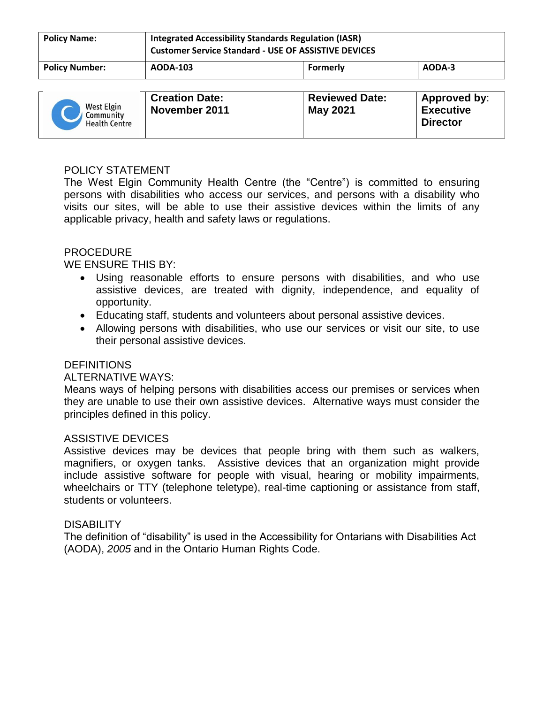| <b>Policy Name:</b>   | <b>Integrated Accessibility Standards Regulation (IASR)</b><br><b>Customer Service Standard - USE OF ASSISTIVE DEVICES</b> |          |        |
|-----------------------|----------------------------------------------------------------------------------------------------------------------------|----------|--------|
| <b>Policy Number:</b> | AODA-103                                                                                                                   | Formerly | AODA-3 |

| West Elgin<br>Community<br><b>Health Centre</b> | <b>Creation Date:</b><br>November 2011 | <b>Reviewed Date:</b><br>May 2021 | <b>Approved by:</b><br><b>Executive</b><br><b>Director</b> |
|-------------------------------------------------|----------------------------------------|-----------------------------------|------------------------------------------------------------|
|-------------------------------------------------|----------------------------------------|-----------------------------------|------------------------------------------------------------|

## POLICY STATEMENT

The West Elgin Community Health Centre (the "Centre") is committed to ensuring persons with disabilities who access our services, and persons with a disability who visits our sites, will be able to use their assistive devices within the limits of any applicable privacy, health and safety laws or regulations.

### PROCEDURE

WE ENSURE THIS BY:

- Using reasonable efforts to ensure persons with disabilities, and who use assistive devices, are treated with dignity, independence, and equality of opportunity.
- Educating staff, students and volunteers about personal assistive devices.
- Allowing persons with disabilities, who use our services or visit our site, to use their personal assistive devices.

### **DEFINITIONS**

### ALTERNATIVE WAYS:

Means ways of helping persons with disabilities access our premises or services when they are unable to use their own assistive devices. Alternative ways must consider the principles defined in this policy.

### ASSISTIVE DEVICES

Assistive devices may be devices that people bring with them such as walkers, magnifiers, or oxygen tanks. Assistive devices that an organization might provide include assistive software for people with visual, hearing or mobility impairments, wheelchairs or TTY (telephone teletype), real-time captioning or assistance from staff, students or volunteers.

### **DISABILITY**

The definition of "disability" is used in the Accessibility for Ontarians with Disabilities Act (AODA), *2005* and in the Ontario Human Rights Code.